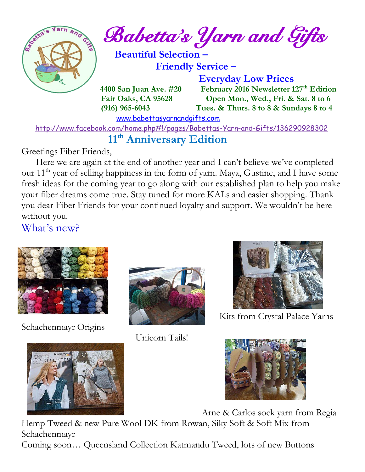

 $\int_{\mathbb{R}}^{\mathbb{R}} e^{i\pi x} d\mu$  and  $\int_{\mathbb{R}}$  and  $\int_{\mathbb{R}}$  and  $\int_{\mathbb{R}}$ 

 **Beautiful Selection – Friendly Service –**

 **Everyday Low Prices**

 **4400 San Juan Ave. #20 February 2016 Newsletter 127th Edition Fair Oaks, CA 95628 Open Mon., Wed., Fri. & Sat. 8 to 6 (916) 965-6043 Tues. & Thurs. 8 to 8 & Sundays 8 to 4** 

[www.babettasyarnandgifts.com](http://www.babettasyarnandgifts.com/)

<http://www.facebook.com/home.php#!/pages/Babettas-Yarn-and-Gifts/136290928302>

## **11th Anniversary Edition**

Greetings Fiber Friends,

 Here we are again at the end of another year and I can't believe we've completed our 11<sup>th</sup> year of selling happiness in the form of yarn. Maya, Gustine, and I have some fresh ideas for the coming year to go along with our established plan to help you make your fiber dreams come true. Stay tuned for more KALs and easier shopping. Thank you dear Fiber Friends for your continued loyalty and support. We wouldn't be here without you.

What's new?



Schachenmayr Origins



Unicorn Tails!



Kits from Crystal Palace Yarns



Arne & Carlos sock yarn from Regia

Hemp Tweed & new Pure Wool DK from Rowan, Siky Soft & Soft Mix from Schachenmayr Coming soon… Queensland Collection Katmandu Tweed, lots of new Buttons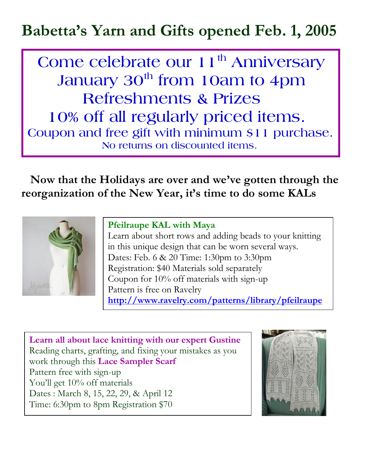# **Babetta's Yarn and Gifts opened Feb. 1, 2005**

 **Come celebrate our 11th Anniversary January 30th from 10am to 4pm Refreshments & Prizes 10% off all regularly priced items. Coupon and free gift with minimum \$11 purchase. No returns on discounted items.**

 **Now that the Holidays are over and we've gotten through the reorganization of the New Year, it's time to do some KALs**



#### **Pfeilraupe KAL with Maya**

Learn about short rows and adding beads to your knitting in this unique design that can be worn several ways. Dates: Feb. 6 & 20 Time: 1:30pm to 3:30pm Registration: \$40 Materials sold separately Coupon for 10% off materials with sign-up Pattern is free on Ravelry **<http://www.ravelry.com/patterns/library/pfeilraupe>**

**Learn all about lace knitting with our expert Gustine** Reading charts, grafting, and fixing your mistakes as you work through this **Lace Sampler Scarf**  Pattern free with sign-up You'll get 10% off materials Dates : March 8, 15, 22, 29, & April 12 Time: 6:30pm to 8pm Registration \$70

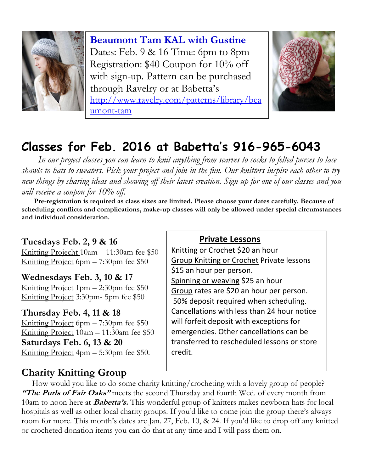

**Beaumont Tam KAL with Gustine** Dates: Feb. 9 & 16 Time: 6pm to 8pm Registration: \$40 Coupon for 10% off with sign-up. Pattern can be purchased through Ravelry or at Babetta's [http://www.ravelry.com/patterns/library/bea](http://www.ravelry.com/patterns/library/beaumont-tam) [umont-tam](http://www.ravelry.com/patterns/library/beaumont-tam)



## **Classes for Feb. 2016 at Babetta's 916-965-6043**

 *In our project classes you can learn to knit anything from scarves to socks to felted purses to lace shawls to hats to sweaters. Pick your project and join in the fun. Our knitters inspire each other to try new things by sharing ideas and showing off their latest creation. Sign up for one of our classes and you will receive a coupon for 10% off.*

 **Pre-registration is required as class sizes are limited. Please choose your dates carefully. Because of scheduling conflicts and complications, make-up classes will only be allowed under special circumstances and individual consideration.**

### **Tuesdays Feb. 2, 9 & 16**

Knitting Projecht 10am – 11:30am fee \$50 Knitting Project 6pm – 7:30pm fee \$50

**Wednesdays Feb. 3, 10 & 17** Knitting Project 1pm – 2:30pm fee \$50 Knitting Project 3:30pm- 5pm fee \$50

### **Thursday Feb. 4, 11 & 18**

Knitting Project 6pm – 7:30pm fee \$50 Knitting Project 10am – 11:30am fee \$50 **Saturdays Feb. 6, 13 & 20** Knitting Project 4pm – 5:30pm fee \$50.

### **Charity Knitting Group**

#### **Private Lessons**

Knitting or Crochet \$20 an hour Group Knitting or Crochet Private lessons \$15 an hour per person. Spinning or weaving \$25 an hour Group rates are \$20 an hour per person. 50% deposit required when scheduling. Cancellations with less than 24 hour notice will forfeit deposit with exceptions for emergencies. Other cancellations can be transferred to rescheduled lessons or store credit.

 How would you like to do some charity knitting/crocheting with a lovely group of people? **"The Purls of Fair Oaks"** meets the second Thursday and fourth Wed. of every month from 10am to noon here at **Babetta's.** This wonderful group of knitters makes newborn hats for local hospitals as well as other local charity groups. If you'd like to come join the group there's always room for more. This month's dates are Jan. 27, Feb. 10, & 24. If you'd like to drop off any knitted or crocheted donation items you can do that at any time and I will pass them on.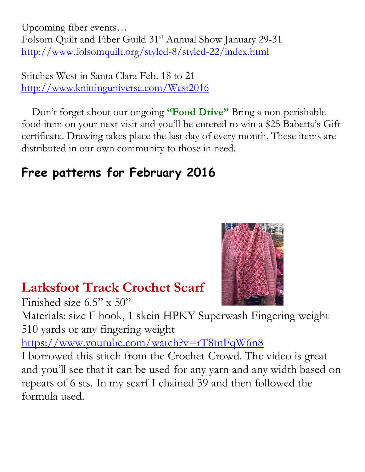Upcoming fiber events… Folsom Quilt and Fiber Guild 31<sup>st</sup> Annual Show January 29-31 <http://www.folsomquilt.org/styled-8/styled-22/index.html>

Stitches West in Santa Clara Feb. 18 to 21 <http://www.knittinguniverse.com/West2016>

 Don't forget about our ongoing **"Food Drive"** Bring a non-perishable food item on your next visit and you'll be entered to win a \$25 Babetta's Gift certificate. Drawing takes place the last day of every month. These items are distributed in our own community to those in need.

# **Free patterns for February 2016**

## **Larksfoot Track Crochet Scarf**

Finished size  $6.5$ " x  $50$ "

Materials: size F hook, 1 skein HPKY Superwash Fingering weight 510 yards or any fingering weight

<https://www.youtube.com/watch?v=rT8tnFqW6n8>

I borrowed this stitch from the Crochet Crowd. The video is great and you'll see that it can be used for any yarn and any width based on repeats of 6 sts. In my scarf I chained 39 and then followed the formula used.